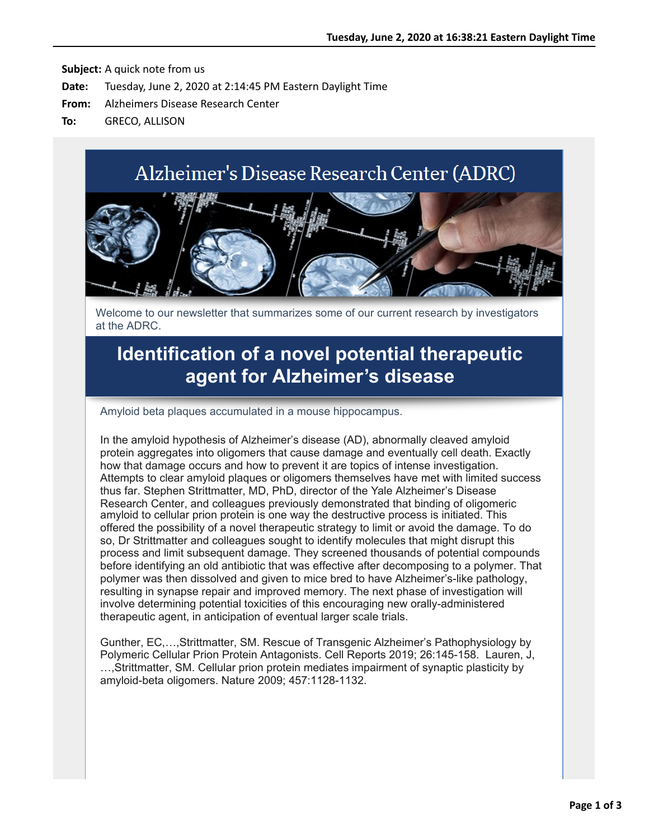# Alzheimer's Disease Research Center (ADRC)



Welcome to our newsletter that summarizes some of our current research by investigators at the ADRC.

## **[Identification of a novel potential therapeutic](https://nam05.safelinks.protection.outlook.com/?url=http%3A%2F%2Fr20.rs6.net%2Ftn.jsp%3Ff%3D001CewN5Tmo_1Lhu-WHKmZaLejnQvg2UWNxjhad93C6o2Srjkmmqa6d_RejJ0EtLUzkA6UsR2-JSHWI01Z7sSMqM3mJ0q4U_-Frm6IHHOEy4416UOxVgRTuCr8PPr2q__I6bAziphXmsELCLXBmA0If8Kib8TLnnUz1%26c%3DHd3MnLGf_Pstclz5RWonUpwkiiwN6CvxL-3Dcv-BRhN5iVmVeCv6uQ%3D%3D%26ch%3Dw5OywzMfibkePMF79hLSR3ASzf5nh-nQ9bMOH1DaVdCiEvOp5bdl6g%3D%3D&data=02%7C01%7Callison.greco%40yale.edu%7C35ec4db1b64248af1b7a08d80720d53e%7Cdd8cbebb21394df8b4114e3e87abeb5c%7C0%7C0%7C637267184888687926&sdata=uBeLMjjy3dLEY6qCfUj7FoB%2BvIlHcdjs5%2BMXHrIl20w%3D&reserved=0) agent for Alzheimer's disease**

Amyloid beta plaques accumulated in a mouse hippocampus.

In the amyloid hypothesis of Alzheimer's disease (AD), abnormally cleaved amyloid protein aggregates into oligomers that cause damage and eventually cell death. Exactly how that damage occurs and how to prevent it are topics of intense investigation. Attempts to clear amyloid plaques or oligomers themselves have met with limited success thus far. Stephen Strittmatter, MD, PhD, director of the Yale Alzheimer's Disease Research Center, and colleagues previously demonstrated that binding of oligomeric amyloid to cellular prion protein is one way the destructive process is initiated. This offered the possibility of a novel therapeutic strategy to limit or avoid the damage. To do so, Dr Strittmatter and colleagues sought to identify molecules that might disrupt this process and limit subsequent damage. They screened thousands of potential compounds before identifying an old antibiotic that was effective after decomposing to a polymer. That polymer was then dissolved and given to mice bred to have Alzheimer's-like pathology, resulting in synapse repair and improved memory. The next phase of investigation will involve determining potential toxicities of this encouraging new orally-administered therapeutic agent, in anticipation of eventual larger scale trials.

Gunther, EC,…,Strittmatter, SM. Rescue of Transgenic Alzheimer's Pathophysiology by Polymeric Cellular Prion Protein Antagonists. Cell Reports 2019; 26:145-158. Lauren, J, …,Strittmatter, SM. Cellular prion protein mediates impairment of synaptic plasticity by amyloid-beta oligomers. Nature 2009; 457:1128-1132.